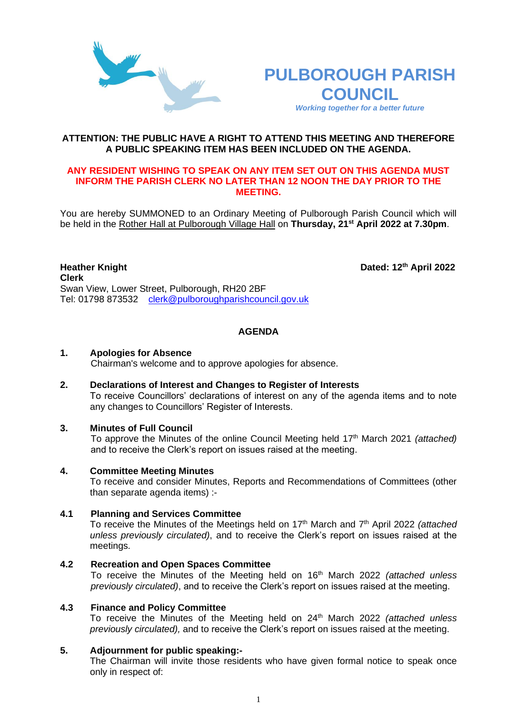



#### **ATTENTION: THE PUBLIC HAVE A RIGHT TO ATTEND THIS MEETING AND THEREFORE A PUBLIC SPEAKING ITEM HAS BEEN INCLUDED ON THE AGENDA.**

#### **ANY RESIDENT WISHING TO SPEAK ON ANY ITEM SET OUT ON THIS AGENDA MUST INFORM THE PARISH CLERK NO LATER THAN 12 NOON THE DAY PRIOR TO THE MEETING.**

You are hereby SUMMONED to an Ordinary Meeting of Pulborough Parish Council which will be held in the Rother Hall at Pulborough Village Hall on **Thursday, 21st April 2022 at 7.30pm**.

#### **Heather Knight Dated: 12<sup>th</sup> April 2022 Clerk**  Swan View, Lower Street, Pulborough, RH20 2BF Tel: 01798 873532 [clerk@pulboroughparishcouncil.gov.uk](mailto:clerk@pulboroughparishcouncil.gov.uk)

## **AGENDA**

#### **1. Apologies for Absence**

Chairman's welcome and to approve apologies for absence.

## **2. Declarations of Interest and Changes to Register of Interests**

To receive Councillors' declarations of interest on any of the agenda items and to note any changes to Councillors' Register of Interests.

### **3. Minutes of Full Council**

To approve the Minutes of the online Council Meeting held 17th March 2021 *(attached)*  and to receive the Clerk's report on issues raised at the meeting.

#### **4. Committee Meeting Minutes**

To receive and consider Minutes, Reports and Recommendations of Committees (other than separate agenda items) :-

#### **4.1 Planning and Services Committee**

To receive the Minutes of the Meetings held on 17<sup>th</sup> March and 7<sup>th</sup> April 2022 *(attached unless previously circulated)*, and to receive the Clerk's report on issues raised at the meetings.

#### **4.2 Recreation and Open Spaces Committee**

To receive the Minutes of the Meeting held on 16 th March 2022 *(attached unless previously circulated)*, and to receive the Clerk's report on issues raised at the meeting.

#### **4.3 Finance and Policy Committee**

To receive the Minutes of the Meeting held on 24th March 2022 *(attached unless previously circulated),* and to receive the Clerk's report on issues raised at the meeting.

### **5. Adjournment for public speaking:-**

The Chairman will invite those residents who have given formal notice to speak once only in respect of: